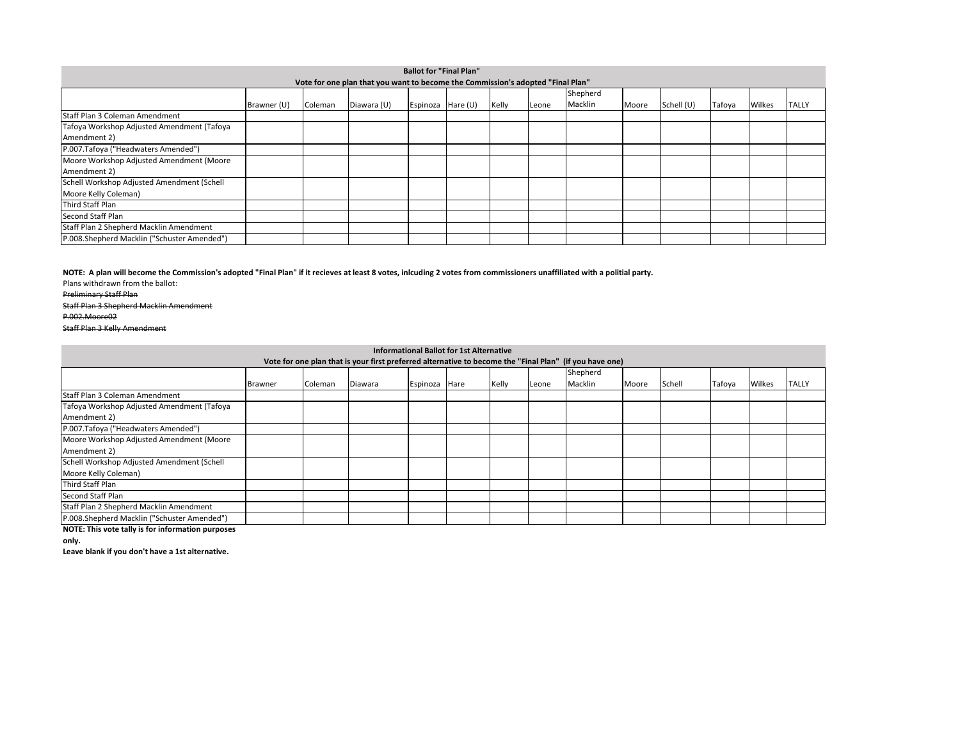Preliminary Staff Plan

Staff Plan 3 Shepherd Macklin Amendment P.002.Moore02 Staff Plan 3 Kelly Amendment

| <b>Ballot for "Final Plan"</b>                                                  |             |         |             |          |            |       |              |         |       |            |        |        |              |  |
|---------------------------------------------------------------------------------|-------------|---------|-------------|----------|------------|-------|--------------|---------|-------|------------|--------|--------|--------------|--|
| Vote for one plan that you want to become the Commission's adopted "Final Plan" |             |         |             |          |            |       |              |         |       |            |        |        |              |  |
|                                                                                 | Shepherd    |         |             |          |            |       |              |         |       |            |        |        |              |  |
|                                                                                 | Brawner (U) | Coleman | Diawara (U) | Espinoza | Hare $(U)$ | Kelly | <b>Leone</b> | Macklin | Moore | Schell (U) | Tafoya | Wilkes | <b>TALLY</b> |  |
| Staff Plan 3 Coleman Amendment                                                  |             |         |             |          |            |       |              |         |       |            |        |        |              |  |
| Tafoya Workshop Adjusted Amendment (Tafoya                                      |             |         |             |          |            |       |              |         |       |            |        |        |              |  |
| Amendment 2)                                                                    |             |         |             |          |            |       |              |         |       |            |        |        |              |  |
| P.007.Tafoya ("Headwaters Amended")                                             |             |         |             |          |            |       |              |         |       |            |        |        |              |  |
| Moore Workshop Adjusted Amendment (Moore                                        |             |         |             |          |            |       |              |         |       |            |        |        |              |  |
| Amendment 2)                                                                    |             |         |             |          |            |       |              |         |       |            |        |        |              |  |
| Schell Workshop Adjusted Amendment (Schell                                      |             |         |             |          |            |       |              |         |       |            |        |        |              |  |
| Moore Kelly Coleman)                                                            |             |         |             |          |            |       |              |         |       |            |        |        |              |  |
| Third Staff Plan                                                                |             |         |             |          |            |       |              |         |       |            |        |        |              |  |
| Second Staff Plan                                                               |             |         |             |          |            |       |              |         |       |            |        |        |              |  |
| Staff Plan 2 Shepherd Macklin Amendment                                         |             |         |             |          |            |       |              |         |       |            |        |        |              |  |
| P.008.Shepherd Macklin ("Schuster Amended")                                     |             |         |             |          |            |       |              |         |       |            |        |        |              |  |

Plans withdrawn from the ballot: **NOTE: A plan will become the Commission's adopted "Final Plan" if it recieves at least 8 votes, inlcuding 2 votes from commissioners unaffiliated with a politial party.** 

**NOTE: This vote tally is for information purposes** 

| <b>Informational Ballot for 1st Alternative</b>                                                         |                |         |         |               |  |       |       |          |       |        |        |        |              |
|---------------------------------------------------------------------------------------------------------|----------------|---------|---------|---------------|--|-------|-------|----------|-------|--------|--------|--------|--------------|
| Vote for one plan that is your first preferred alternative to become the "Final Plan" (if you have one) |                |         |         |               |  |       |       |          |       |        |        |        |              |
|                                                                                                         |                |         |         |               |  |       |       | Shepherd |       |        |        |        |              |
|                                                                                                         | <b>Brawner</b> | Coleman | Diawara | Espinoza Hare |  | Kelly | Leone | Macklin  | Moore | Schell | Tafoya | Wilkes | <b>TALLY</b> |
| Staff Plan 3 Coleman Amendment                                                                          |                |         |         |               |  |       |       |          |       |        |        |        |              |
| Tafoya Workshop Adjusted Amendment (Tafoya                                                              |                |         |         |               |  |       |       |          |       |        |        |        |              |
| Amendment 2)                                                                                            |                |         |         |               |  |       |       |          |       |        |        |        |              |
| P.007. Tafoya ("Headwaters Amended")                                                                    |                |         |         |               |  |       |       |          |       |        |        |        |              |
| Moore Workshop Adjusted Amendment (Moore                                                                |                |         |         |               |  |       |       |          |       |        |        |        |              |
| Amendment 2)                                                                                            |                |         |         |               |  |       |       |          |       |        |        |        |              |
| Schell Workshop Adjusted Amendment (Schell                                                              |                |         |         |               |  |       |       |          |       |        |        |        |              |
| Moore Kelly Coleman)                                                                                    |                |         |         |               |  |       |       |          |       |        |        |        |              |
| Third Staff Plan                                                                                        |                |         |         |               |  |       |       |          |       |        |        |        |              |
| Second Staff Plan                                                                                       |                |         |         |               |  |       |       |          |       |        |        |        |              |
| Staff Plan 2 Shepherd Macklin Amendment                                                                 |                |         |         |               |  |       |       |          |       |        |        |        |              |
| P.008.Shepherd Macklin ("Schuster Amended")                                                             |                |         |         |               |  |       |       |          |       |        |        |        |              |

**only.** 

**Leave blank if you don't have a 1st alternative.**